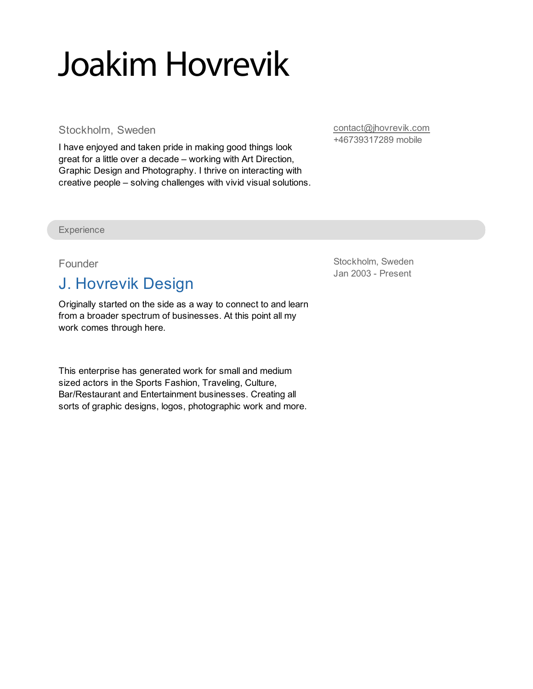# Joakim Hovrevik

Stockholm, Sweden

I have enjoyed and taken pride in making good things look great for a little over a decade – working with Art Direction, Graphic Design and Photography. I thrive on interacting with creative people – solving challenges with vivid visual solutions. [contact@jhovrevik.com](mailto:contact@jhovrevik.com) +46739317289 mobile

**Experience** 

#### Founder

## J. Hovrevik Design

Originally started on the side as a way to connect to and learn from a broader spectrum of businesses. At this point all my work comes through here.

This enterprise has generated work for small and medium sized actors in the Sports Fashion, Traveling, Culture, Bar/Restaurant and Entertainment businesses. Creating all sorts of graphic designs, logos, photographic work and more. Stockholm, Sweden Jan 2003 - Present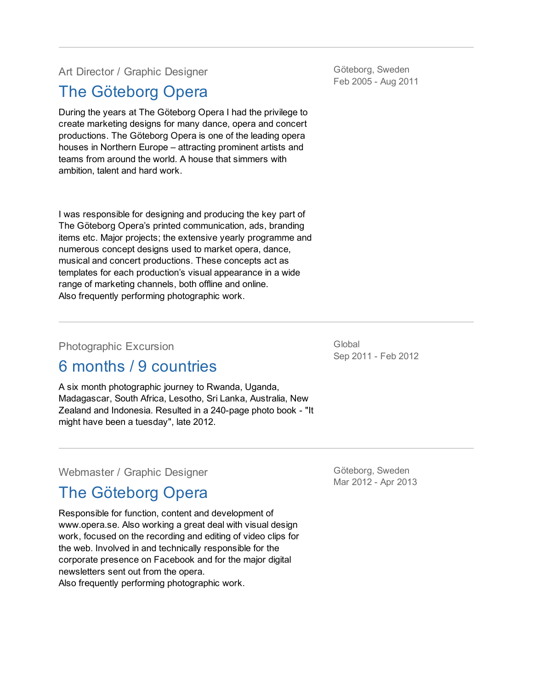Art Director / Graphic Designer

## The [Göteborg](http://www.opera.se) Opera

During the years at The Göteborg Opera I had the privilege to create marketing designs for many dance, opera and concert productions. The Göteborg Opera is one of the leading opera houses in Northern Europe – attracting prominent artists and teams from around the world. A house that simmers with ambition, talent and hard work.

I was responsible for designing and producing the key part of The Göteborg Opera's printed communication, ads, branding items etc. Major projects; the extensive yearly programme and numerous concept designs used to market opera, dance, musical and concert productions. These concepts act as templates for each production's visual appearance in a wide range of marketing channels, both offline and online. Also frequently performing photographic work.

#### Photographic Excursion

### 6 months / 9 countries

A six month photographic journey to Rwanda, Uganda, Madagascar, South Africa, Lesotho, Sri Lanka, Australia, New Zealand and Indonesia. Resulted in a 240-page photo book - "It might have been a tuesday", late 2012.

Webmaster / Graphic Designer

## The [Göteborg](http://www.opera.se) Opera

Responsible for function, content and development of www.opera.se. Also working a great deal with visual design work, focused on the recording and editing of video clips for the web. Involved in and technically responsible for the corporate presence on Facebook and for the major digital newsletters sent out from the opera. Also frequently performing photographic work.

Göteborg, Sweden Mar 2012 - Apr 2013

Göteborg, Sweden Feb 2005 - Aug 2011

Global Sep 2011 - Feb 2012